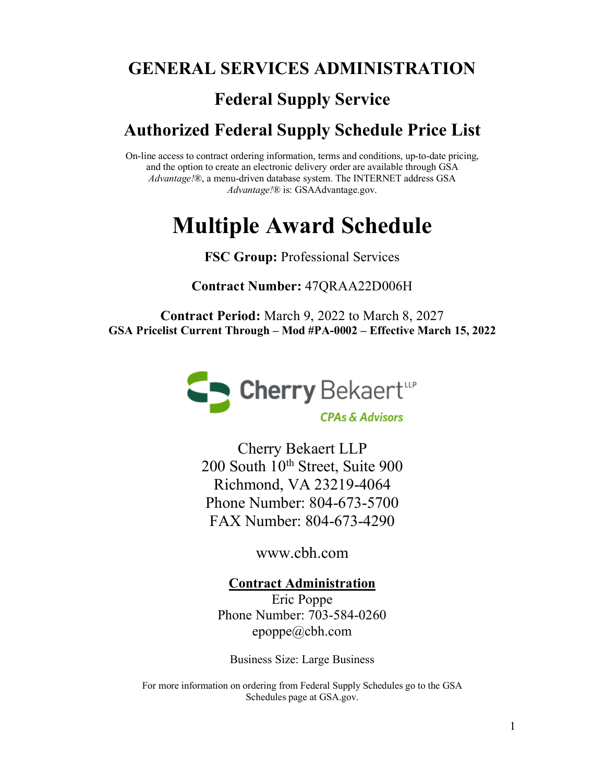### **GENERAL SERVICES ADMINISTRATION**

### **Federal Supply Service**

### **Authorized Federal Supply Schedule Price List**

On-line access to contract ordering information, terms and conditions, up-to-date pricing, and the option to create an electronic delivery order are available through GSA *Advantage!*®, a menu-driven database system. The INTERNET address GSA *Advantage!*® is: GSAAdvantage.gov.

# **Multiple Award Schedule**

#### **FSC Group:** Professional Services

**Contract Number:** 47QRAA22D006H

**Contract Period:** March 9, 2022 to March 8, 2027 **GSA Pricelist Current Through – Mod #PA-0002 – Effective March 15, 2022**



**CPAs & Advisors** 

Cherry Bekaert LLP 200 South 10<sup>th</sup> Street, Suite 900 Richmond, VA 23219-4064 Phone Number: 804-673-5700 FAX Number: 804-673-4290

[www.cbh.com](http://www.cbh.com/)

**Contract Administration** Eric Poppe

Phone Number: 703-584-0260 epoppe@cbh.com

Business Size: Large Business

For more information on ordering from Federal Supply Schedules go to the GSA Schedules page at GSA.gov.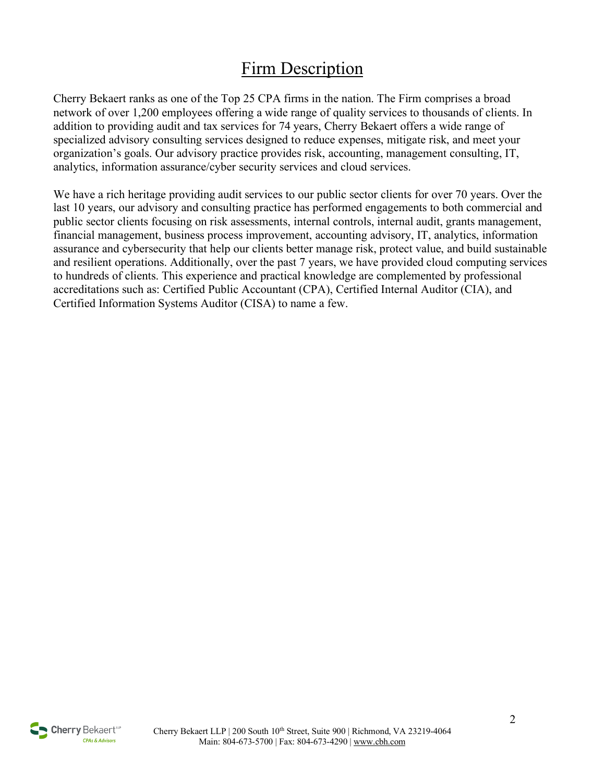## Firm Description

Cherry Bekaert ranks as one of the Top 25 CPA firms in the nation. The Firm comprises a broad network of over 1,200 employees offering a wide range of quality services to thousands of clients. In addition to providing audit and tax services for 74 years, Cherry Bekaert offers a wide range of specialized advisory consulting services designed to reduce expenses, mitigate risk, and meet your organization's goals. Our advisory practice provides risk, accounting, management consulting, IT, analytics, information assurance/cyber security services and cloud services.

We have a rich heritage providing audit services to our public sector clients for over 70 years. Over the last 10 years, our advisory and consulting practice has performed engagements to both commercial and public sector clients focusing on risk assessments, internal controls, internal audit, grants management, financial management, business process improvement, accounting advisory, IT, analytics, information assurance and cybersecurity that help our clients better manage risk, protect value, and build sustainable and resilient operations. Additionally, over the past 7 years, we have provided cloud computing services to hundreds of clients. This experience and practical knowledge are complemented by professional accreditations such as: Certified Public Accountant (CPA), Certified Internal Auditor (CIA), and Certified Information Systems Auditor (CISA) to name a few.

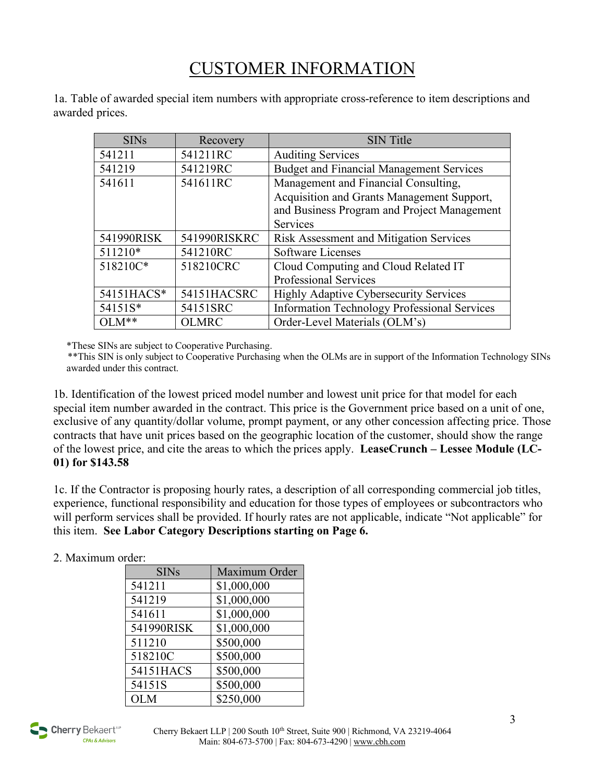## CUSTOMER INFORMATION

1a. Table of awarded special item numbers with appropriate cross-reference to item descriptions and awarded prices.

| <b>SINs</b> | Recovery     | <b>SIN Title</b>                                    |
|-------------|--------------|-----------------------------------------------------|
| 541211      | 541211RC     | <b>Auditing Services</b>                            |
| 541219      | 541219RC     | <b>Budget and Financial Management Services</b>     |
| 541611      | 541611RC     | Management and Financial Consulting,                |
|             |              | Acquisition and Grants Management Support,          |
|             |              | and Business Program and Project Management         |
|             |              | Services                                            |
| 541990RISK  | 541990RISKRC | Risk Assessment and Mitigation Services             |
| 511210*     | 541210RC     | <b>Software Licenses</b>                            |
| 518210C*    | 518210CRC    | Cloud Computing and Cloud Related IT                |
|             |              | Professional Services                               |
| 54151HACS*  | 54151HACSRC  | <b>Highly Adaptive Cybersecurity Services</b>       |
| 54151S*     | 54151SRC     | <b>Information Technology Professional Services</b> |
| $OLM**$     | <b>OLMRC</b> | Order-Level Materials (OLM's)                       |

\*These SINs are subject to Cooperative Purchasing.

 \*\*This SIN is only subject to Cooperative Purchasing when the OLMs are in support of the Information Technology SINs awarded under this contract.

1b. Identification of the lowest priced model number and lowest unit price for that model for each special item number awarded in the contract. This price is the Government price based on a unit of one, exclusive of any quantity/dollar volume, prompt payment, or any other concession affecting price. Those contracts that have unit prices based on the geographic location of the customer, should show the range of the lowest price, and cite the areas to which the prices apply. **LeaseCrunch – Lessee Module (LC-01) for \$143.58**

1c. If the Contractor is proposing hourly rates, a description of all corresponding commercial job titles, experience, functional responsibility and education for those types of employees or subcontractors who will perform services shall be provided. If hourly rates are not applicable, indicate "Not applicable" for this item. **See Labor Category Descriptions starting on Page 6.**

#### 2. Maximum order:

| <b>SINs</b> | Maximum Order |
|-------------|---------------|
| 541211      | \$1,000,000   |
| 541219      | \$1,000,000   |
| 541611      | \$1,000,000   |
| 541990RISK  | \$1,000,000   |
| 511210      | \$500,000     |
| 518210C     | \$500,000     |
| 54151HACS   | \$500,000     |
| 54151S      | \$500,000     |
| <b>OLM</b>  | \$250,000     |

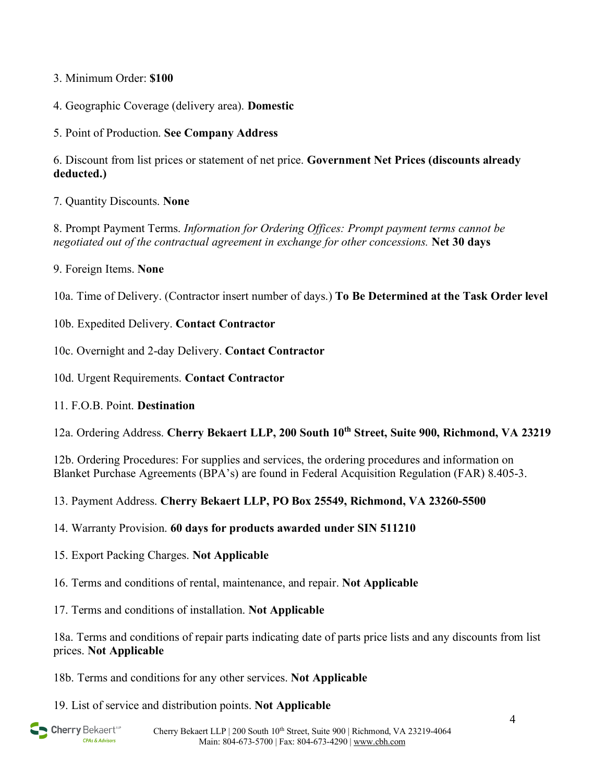#### 3. Minimum Order: **\$100**

- 4. Geographic Coverage (delivery area). **Domestic**
- 5. Point of Production. **See Company Address**

6. Discount from list prices or statement of net price. **Government Net Prices (discounts already deducted.)**

7. Quantity Discounts. **None**

8. Prompt Payment Terms. *Information for Ordering Offices: Prompt payment terms cannot be negotiated out of the contractual agreement in exchange for other concessions.* **Net 30 days**

9. Foreign Items. **None**

10a. Time of Delivery. (Contractor insert number of days.) **To Be Determined at the Task Order level**

- 10b. Expedited Delivery. **Contact Contractor**
- 10c. Overnight and 2-day Delivery. **Contact Contractor**
- 10d. Urgent Requirements. **Contact Contractor**
- 11. F.O.B. Point. **Destination**

12a. Ordering Address. **Cherry Bekaert LLP, 200 South 10th Street, Suite 900, Richmond, VA 23219**

12b. Ordering Procedures: For supplies and services, the ordering procedures and information on Blanket Purchase Agreements (BPA's) are found in Federal Acquisition Regulation (FAR) 8.405-3.

- 13. Payment Address. **Cherry Bekaert LLP, PO Box 25549, Richmond, VA 23260-5500**
- 14. Warranty Provision. **60 days for products awarded under SIN 511210**
- 15. Export Packing Charges. **Not Applicable**
- 16. Terms and conditions of rental, maintenance, and repair. **Not Applicable**
- 17. Terms and conditions of installation. **Not Applicable**

18a. Terms and conditions of repair parts indicating date of parts price lists and any discounts from list prices. **Not Applicable**

18b. Terms and conditions for any other services. **Not Applicable**

19. List of service and distribution points. **Not Applicable**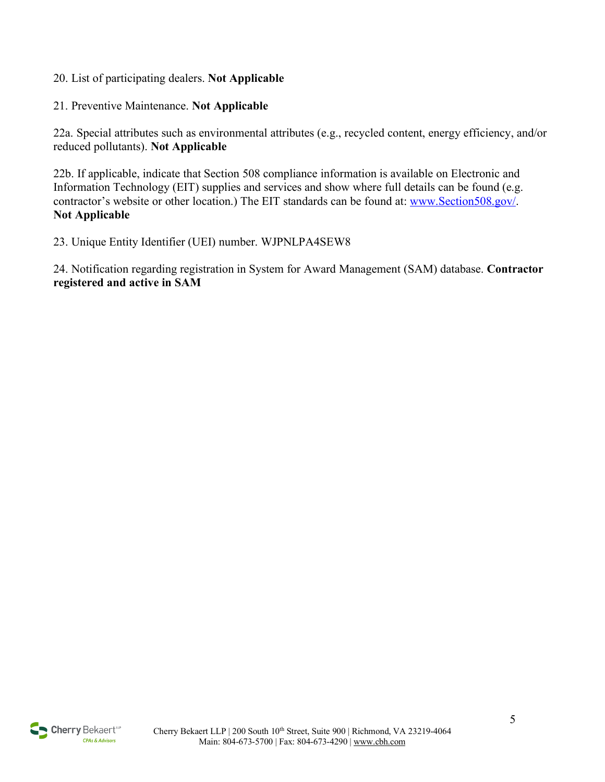- 20. List of participating dealers. **Not Applicable**
- 21. Preventive Maintenance. **Not Applicable**

22a. Special attributes such as environmental attributes (e.g., recycled content, energy efficiency, and/or reduced pollutants). **Not Applicable**

22b. If applicable, indicate that Section 508 compliance information is available on Electronic and Information Technology (EIT) supplies and services and show where full details can be found (e.g. contractor's website or other location.) The EIT standards can be found at: [www.Section508.gov/.](http://www.section508.gov/) **Not Applicable**

23. Unique Entity Identifier (UEI) number. WJPNLPA4SEW8

24. Notification regarding registration in System for Award Management (SAM) database. **Contractor registered and active in SAM**

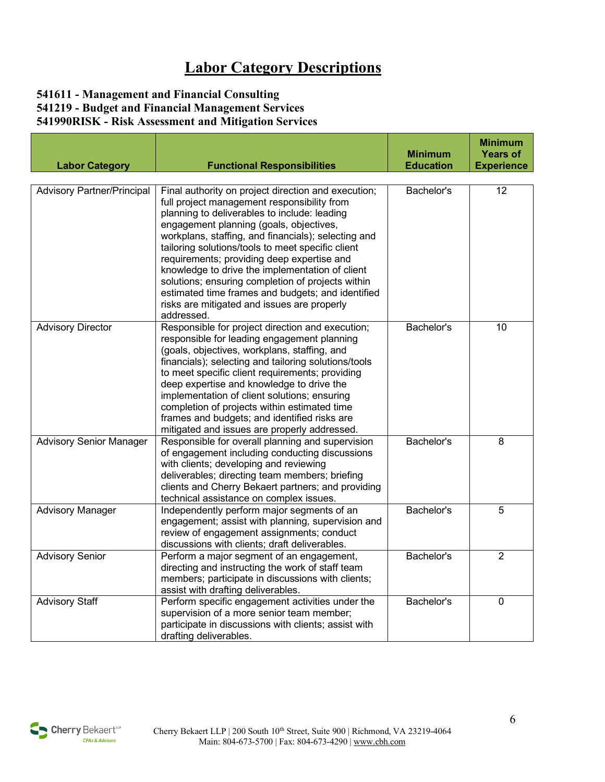## **Labor Category Descriptions**

#### **541611 - Management and Financial Consulting 541219 - Budget and Financial Management Services 541990RISK - Risk Assessment and Mitigation Services**

| <b>Labor Category</b>             | <b>Functional Responsibilities</b>                                                                                                                                                                                                                                                                                                                                                                                                                                                                                                                                                | <b>Minimum</b><br><b>Education</b> | <b>Minimum</b><br><b>Years of</b><br><b>Experience</b> |
|-----------------------------------|-----------------------------------------------------------------------------------------------------------------------------------------------------------------------------------------------------------------------------------------------------------------------------------------------------------------------------------------------------------------------------------------------------------------------------------------------------------------------------------------------------------------------------------------------------------------------------------|------------------------------------|--------------------------------------------------------|
|                                   |                                                                                                                                                                                                                                                                                                                                                                                                                                                                                                                                                                                   |                                    |                                                        |
| <b>Advisory Partner/Principal</b> | Final authority on project direction and execution;<br>full project management responsibility from<br>planning to deliverables to include: leading<br>engagement planning (goals, objectives,<br>workplans, staffing, and financials); selecting and<br>tailoring solutions/tools to meet specific client<br>requirements; providing deep expertise and<br>knowledge to drive the implementation of client<br>solutions; ensuring completion of projects within<br>estimated time frames and budgets; and identified<br>risks are mitigated and issues are properly<br>addressed. | Bachelor's                         | 12                                                     |
| <b>Advisory Director</b>          | Responsible for project direction and execution;<br>responsible for leading engagement planning<br>(goals, objectives, workplans, staffing, and<br>financials); selecting and tailoring solutions/tools<br>to meet specific client requirements; providing<br>deep expertise and knowledge to drive the<br>implementation of client solutions; ensuring<br>completion of projects within estimated time<br>frames and budgets; and identified risks are<br>mitigated and issues are properly addressed.                                                                           | Bachelor's                         | 10                                                     |
| <b>Advisory Senior Manager</b>    | Responsible for overall planning and supervision<br>of engagement including conducting discussions<br>with clients; developing and reviewing<br>deliverables; directing team members; briefing<br>clients and Cherry Bekaert partners; and providing<br>technical assistance on complex issues.                                                                                                                                                                                                                                                                                   | Bachelor's                         | 8                                                      |
| <b>Advisory Manager</b>           | Independently perform major segments of an<br>engagement; assist with planning, supervision and<br>review of engagement assignments; conduct<br>discussions with clients; draft deliverables.                                                                                                                                                                                                                                                                                                                                                                                     | Bachelor's                         | 5                                                      |
| <b>Advisory Senior</b>            | Perform a major segment of an engagement,<br>directing and instructing the work of staff team<br>members; participate in discussions with clients;<br>assist with drafting deliverables.                                                                                                                                                                                                                                                                                                                                                                                          | Bachelor's                         | $\overline{2}$                                         |
| <b>Advisory Staff</b>             | Perform specific engagement activities under the<br>supervision of a more senior team member;<br>participate in discussions with clients; assist with<br>drafting deliverables.                                                                                                                                                                                                                                                                                                                                                                                                   | Bachelor's                         | $\mathbf 0$                                            |

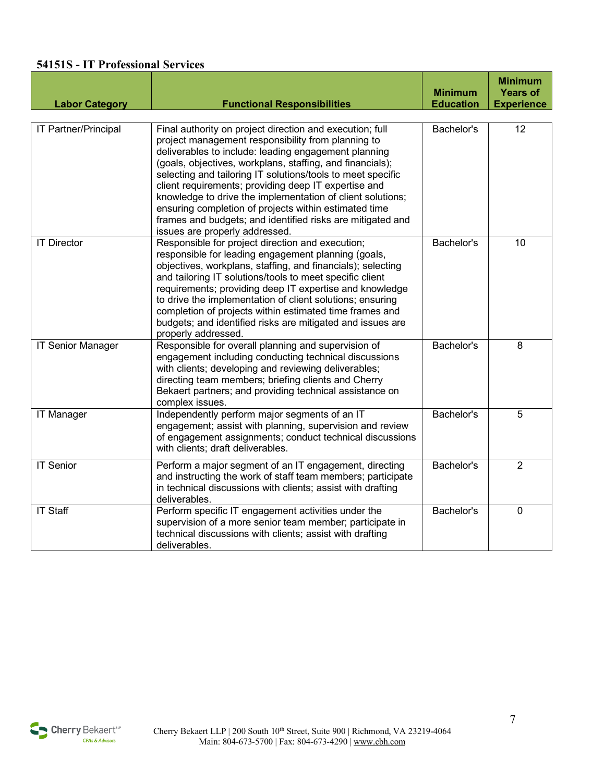#### **54151S - IT Professional Services**

| <b>Labor Category</b>    | <b>Functional Responsibilities</b>                                                                                                                                                                                                                                                                                                                                                                                                                                                                                                                                                | <b>Minimum</b><br><b>Education</b> | <b>Minimum</b><br><b>Years of</b><br><b>Experience</b> |
|--------------------------|-----------------------------------------------------------------------------------------------------------------------------------------------------------------------------------------------------------------------------------------------------------------------------------------------------------------------------------------------------------------------------------------------------------------------------------------------------------------------------------------------------------------------------------------------------------------------------------|------------------------------------|--------------------------------------------------------|
| IT Partner/Principal     | Final authority on project direction and execution; full<br>project management responsibility from planning to<br>deliverables to include: leading engagement planning<br>(goals, objectives, workplans, staffing, and financials);<br>selecting and tailoring IT solutions/tools to meet specific<br>client requirements; providing deep IT expertise and<br>knowledge to drive the implementation of client solutions;<br>ensuring completion of projects within estimated time<br>frames and budgets; and identified risks are mitigated and<br>issues are properly addressed. | Bachelor's                         | 12                                                     |
| <b>IT Director</b>       | Responsible for project direction and execution;<br>responsible for leading engagement planning (goals,<br>objectives, workplans, staffing, and financials); selecting<br>and tailoring IT solutions/tools to meet specific client<br>requirements; providing deep IT expertise and knowledge<br>to drive the implementation of client solutions; ensuring<br>completion of projects within estimated time frames and<br>budgets; and identified risks are mitigated and issues are<br>properly addressed.                                                                        | Bachelor's                         | 10                                                     |
| <b>IT Senior Manager</b> | Responsible for overall planning and supervision of<br>engagement including conducting technical discussions<br>with clients; developing and reviewing deliverables;<br>directing team members; briefing clients and Cherry<br>Bekaert partners; and providing technical assistance on<br>complex issues.                                                                                                                                                                                                                                                                         | Bachelor's                         | 8                                                      |
| <b>IT Manager</b>        | Independently perform major segments of an IT<br>engagement; assist with planning, supervision and review<br>of engagement assignments; conduct technical discussions<br>with clients; draft deliverables.                                                                                                                                                                                                                                                                                                                                                                        | Bachelor's                         | $\overline{5}$                                         |
| <b>IT Senior</b>         | Perform a major segment of an IT engagement, directing<br>and instructing the work of staff team members; participate<br>in technical discussions with clients; assist with drafting<br>deliverables.                                                                                                                                                                                                                                                                                                                                                                             | Bachelor's                         | $\overline{2}$                                         |
| <b>IT Staff</b>          | Perform specific IT engagement activities under the<br>supervision of a more senior team member; participate in<br>technical discussions with clients; assist with drafting<br>deliverables.                                                                                                                                                                                                                                                                                                                                                                                      | Bachelor's                         | $\mathbf 0$                                            |

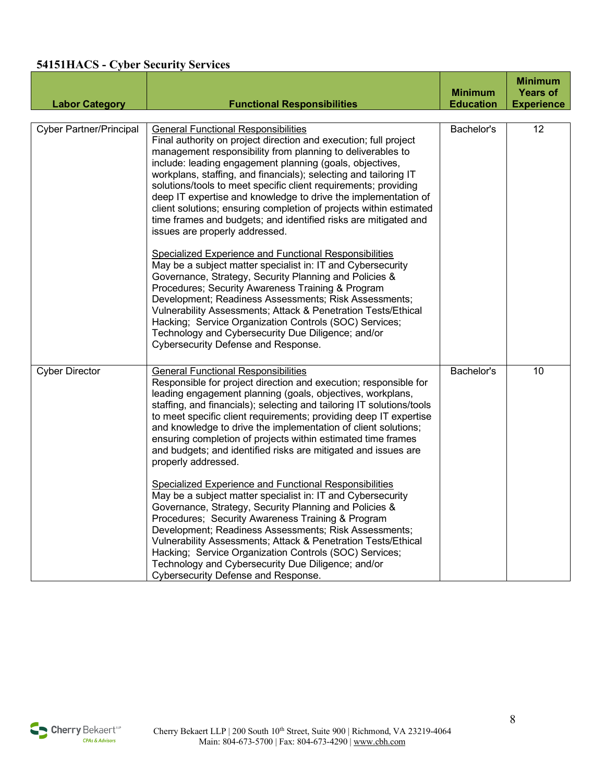#### **54151HACS - Cyber Security Services**

| <b>Labor Category</b>          | <b>Functional Responsibilities</b>                                                                                                                                                                                                                                                                                                                                                                                                                                                                                                                                                                                                                                                                                                                                                                                                                                                                                                                                                                                                                                                                                                                    | <b>Minimum</b><br><b>Education</b> | <b>Minimum</b><br><b>Years of</b><br><b>Experience</b> |
|--------------------------------|-------------------------------------------------------------------------------------------------------------------------------------------------------------------------------------------------------------------------------------------------------------------------------------------------------------------------------------------------------------------------------------------------------------------------------------------------------------------------------------------------------------------------------------------------------------------------------------------------------------------------------------------------------------------------------------------------------------------------------------------------------------------------------------------------------------------------------------------------------------------------------------------------------------------------------------------------------------------------------------------------------------------------------------------------------------------------------------------------------------------------------------------------------|------------------------------------|--------------------------------------------------------|
| <b>Cyber Partner/Principal</b> | <b>General Functional Responsibilities</b><br>Final authority on project direction and execution; full project<br>management responsibility from planning to deliverables to<br>include: leading engagement planning (goals, objectives,<br>workplans, staffing, and financials); selecting and tailoring IT<br>solutions/tools to meet specific client requirements; providing<br>deep IT expertise and knowledge to drive the implementation of<br>client solutions; ensuring completion of projects within estimated<br>time frames and budgets; and identified risks are mitigated and<br>issues are properly addressed.<br>Specialized Experience and Functional Responsibilities<br>May be a subject matter specialist in: IT and Cybersecurity<br>Governance, Strategy, Security Planning and Policies &<br>Procedures; Security Awareness Training & Program<br>Development; Readiness Assessments; Risk Assessments;<br>Vulnerability Assessments; Attack & Penetration Tests/Ethical<br>Hacking; Service Organization Controls (SOC) Services;<br>Technology and Cybersecurity Due Diligence; and/or<br>Cybersecurity Defense and Response. | Bachelor's                         | 12                                                     |
| <b>Cyber Director</b>          | <b>General Functional Responsibilities</b><br>Responsible for project direction and execution; responsible for<br>leading engagement planning (goals, objectives, workplans,<br>staffing, and financials); selecting and tailoring IT solutions/tools<br>to meet specific client requirements; providing deep IT expertise<br>and knowledge to drive the implementation of client solutions;<br>ensuring completion of projects within estimated time frames<br>and budgets; and identified risks are mitigated and issues are<br>properly addressed.<br>Specialized Experience and Functional Responsibilities<br>May be a subject matter specialist in: IT and Cybersecurity<br>Governance, Strategy, Security Planning and Policies &<br>Procedures; Security Awareness Training & Program<br>Development; Readiness Assessments; Risk Assessments;<br>Vulnerability Assessments; Attack & Penetration Tests/Ethical<br>Hacking; Service Organization Controls (SOC) Services;<br>Technology and Cybersecurity Due Diligence; and/or<br>Cybersecurity Defense and Response.                                                                        | Bachelor's                         | 10                                                     |

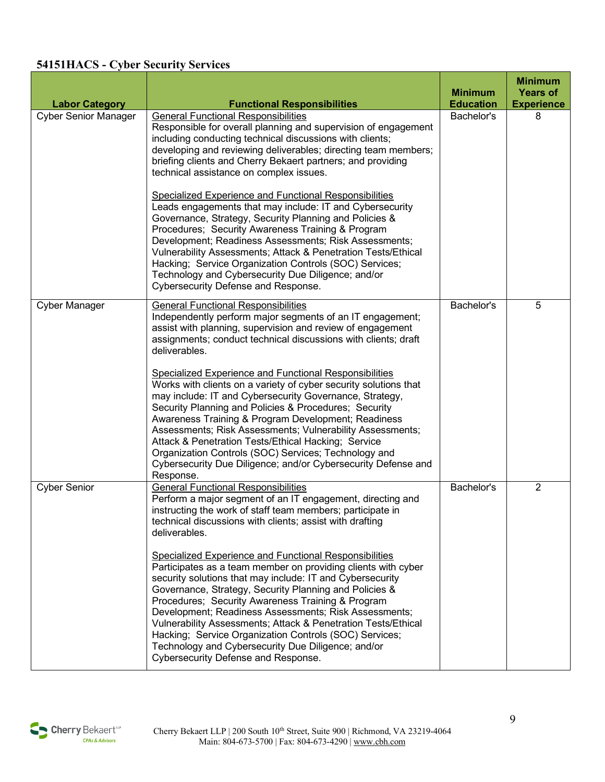#### **54151HACS - Cyber Security Services**

| <b>Labor Category</b>       | <b>Functional Responsibilities</b>                                                                                                                                                                                                                                                                                                                                                                                                                                                                                                                                                                                                                                                                                                                                                                                                                                                | <b>Minimum</b><br><b>Education</b> | <b>Minimum</b><br><b>Years of</b><br><b>Experience</b> |
|-----------------------------|-----------------------------------------------------------------------------------------------------------------------------------------------------------------------------------------------------------------------------------------------------------------------------------------------------------------------------------------------------------------------------------------------------------------------------------------------------------------------------------------------------------------------------------------------------------------------------------------------------------------------------------------------------------------------------------------------------------------------------------------------------------------------------------------------------------------------------------------------------------------------------------|------------------------------------|--------------------------------------------------------|
| <b>Cyber Senior Manager</b> | <b>General Functional Responsibilities</b><br>Responsible for overall planning and supervision of engagement<br>including conducting technical discussions with clients;<br>developing and reviewing deliverables; directing team members;<br>briefing clients and Cherry Bekaert partners; and providing<br>technical assistance on complex issues.<br><b>Specialized Experience and Functional Responsibilities</b><br>Leads engagements that may include: IT and Cybersecurity<br>Governance, Strategy, Security Planning and Policies &<br>Procedures; Security Awareness Training & Program<br>Development; Readiness Assessments; Risk Assessments;<br>Vulnerability Assessments; Attack & Penetration Tests/Ethical<br>Hacking; Service Organization Controls (SOC) Services;<br>Technology and Cybersecurity Due Diligence; and/or<br>Cybersecurity Defense and Response. | Bachelor's                         | 8                                                      |
| <b>Cyber Manager</b>        | <b>General Functional Responsibilities</b><br>Independently perform major segments of an IT engagement;<br>assist with planning, supervision and review of engagement<br>assignments; conduct technical discussions with clients; draft<br>deliverables.<br><b>Specialized Experience and Functional Responsibilities</b><br>Works with clients on a variety of cyber security solutions that<br>may include: IT and Cybersecurity Governance, Strategy,<br>Security Planning and Policies & Procedures; Security<br>Awareness Training & Program Development; Readiness<br>Assessments; Risk Assessments; Vulnerability Assessments;<br>Attack & Penetration Tests/Ethical Hacking; Service<br>Organization Controls (SOC) Services; Technology and<br>Cybersecurity Due Diligence; and/or Cybersecurity Defense and<br>Response.                                                | Bachelor's                         | 5                                                      |
| <b>Cyber Senior</b>         | <b>General Functional Responsibilities</b><br>Perform a major segment of an IT engagement, directing and<br>instructing the work of staff team members; participate in<br>technical discussions with clients; assist with drafting<br>deliverables.<br><b>Specialized Experience and Functional Responsibilities</b><br>Participates as a team member on providing clients with cyber<br>security solutions that may include: IT and Cybersecurity<br>Governance, Strategy, Security Planning and Policies &<br>Procedures; Security Awareness Training & Program<br>Development; Readiness Assessments; Risk Assessments;<br>Vulnerability Assessments; Attack & Penetration Tests/Ethical<br>Hacking; Service Organization Controls (SOC) Services;<br>Technology and Cybersecurity Due Diligence; and/or<br>Cybersecurity Defense and Response.                                | Bachelor's                         | $\overline{2}$                                         |

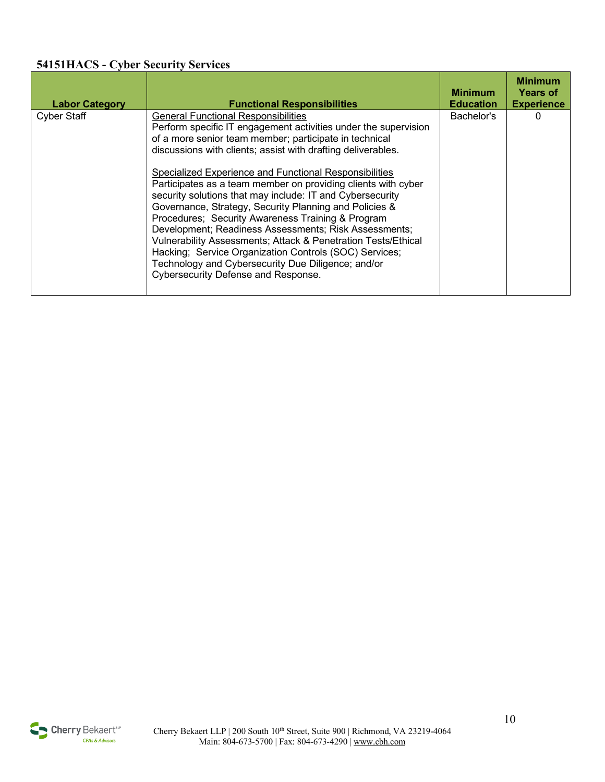#### **54151HACS - Cyber Security Services**

| <b>Labor Category</b> | <b>Functional Responsibilities</b>                                                                                                                                                                                                                                                                                                                                                                                                                                                                                                                                                                                                                                                                                                                                                                                                     | <b>Minimum</b><br><b>Education</b> | <b>Minimum</b><br><b>Years of</b><br><b>Experience</b> |
|-----------------------|----------------------------------------------------------------------------------------------------------------------------------------------------------------------------------------------------------------------------------------------------------------------------------------------------------------------------------------------------------------------------------------------------------------------------------------------------------------------------------------------------------------------------------------------------------------------------------------------------------------------------------------------------------------------------------------------------------------------------------------------------------------------------------------------------------------------------------------|------------------------------------|--------------------------------------------------------|
| <b>Cyber Staff</b>    | <b>General Functional Responsibilities</b><br>Perform specific IT engagement activities under the supervision<br>of a more senior team member; participate in technical<br>discussions with clients; assist with drafting deliverables.<br><b>Specialized Experience and Functional Responsibilities</b><br>Participates as a team member on providing clients with cyber<br>security solutions that may include: IT and Cybersecurity<br>Governance, Strategy, Security Planning and Policies &<br>Procedures; Security Awareness Training & Program<br>Development; Readiness Assessments; Risk Assessments;<br>Vulnerability Assessments; Attack & Penetration Tests/Ethical<br>Hacking; Service Organization Controls (SOC) Services;<br>Technology and Cybersecurity Due Diligence; and/or<br>Cybersecurity Defense and Response. | Bachelor's                         | 0                                                      |

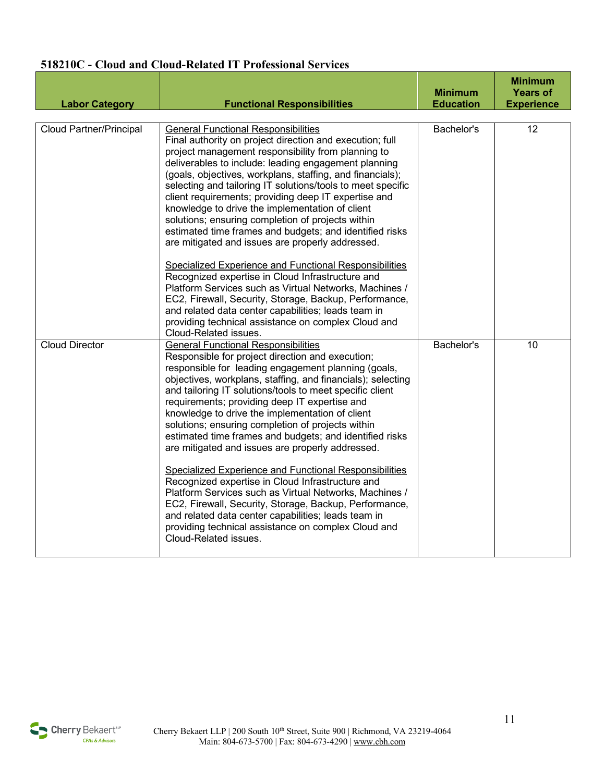#### **518210C - Cloud and Cloud-Related IT Professional Services**

| <b>Labor Category</b>          | <b>Functional Responsibilities</b>                                                                                                                                                                                                                                                                                                                                                                                                                                                                                                                                                                                                                                                                                                                                                                                                                                                                                                                                                                       | <b>Minimum</b><br><b>Education</b> | <b>Minimum</b><br><b>Years of</b><br><b>Experience</b> |
|--------------------------------|----------------------------------------------------------------------------------------------------------------------------------------------------------------------------------------------------------------------------------------------------------------------------------------------------------------------------------------------------------------------------------------------------------------------------------------------------------------------------------------------------------------------------------------------------------------------------------------------------------------------------------------------------------------------------------------------------------------------------------------------------------------------------------------------------------------------------------------------------------------------------------------------------------------------------------------------------------------------------------------------------------|------------------------------------|--------------------------------------------------------|
| <b>Cloud Partner/Principal</b> | <b>General Functional Responsibilities</b><br>Final authority on project direction and execution; full<br>project management responsibility from planning to<br>deliverables to include: leading engagement planning<br>(goals, objectives, workplans, staffing, and financials);<br>selecting and tailoring IT solutions/tools to meet specific<br>client requirements; providing deep IT expertise and<br>knowledge to drive the implementation of client<br>solutions; ensuring completion of projects within<br>estimated time frames and budgets; and identified risks<br>are mitigated and issues are properly addressed.<br>Specialized Experience and Functional Responsibilities<br>Recognized expertise in Cloud Infrastructure and<br>Platform Services such as Virtual Networks, Machines /<br>EC2, Firewall, Security, Storage, Backup, Performance,<br>and related data center capabilities; leads team in<br>providing technical assistance on complex Cloud and<br>Cloud-Related issues. | Bachelor's                         | 12                                                     |
| <b>Cloud Director</b>          | <b>General Functional Responsibilities</b><br>Responsible for project direction and execution;<br>responsible for leading engagement planning (goals,<br>objectives, workplans, staffing, and financials); selecting<br>and tailoring IT solutions/tools to meet specific client<br>requirements; providing deep IT expertise and<br>knowledge to drive the implementation of client<br>solutions; ensuring completion of projects within<br>estimated time frames and budgets; and identified risks<br>are mitigated and issues are properly addressed.<br>Specialized Experience and Functional Responsibilities<br>Recognized expertise in Cloud Infrastructure and<br>Platform Services such as Virtual Networks, Machines /<br>EC2, Firewall, Security, Storage, Backup, Performance,<br>and related data center capabilities; leads team in<br>providing technical assistance on complex Cloud and<br>Cloud-Related issues.                                                                        | Bachelor's                         | 10                                                     |

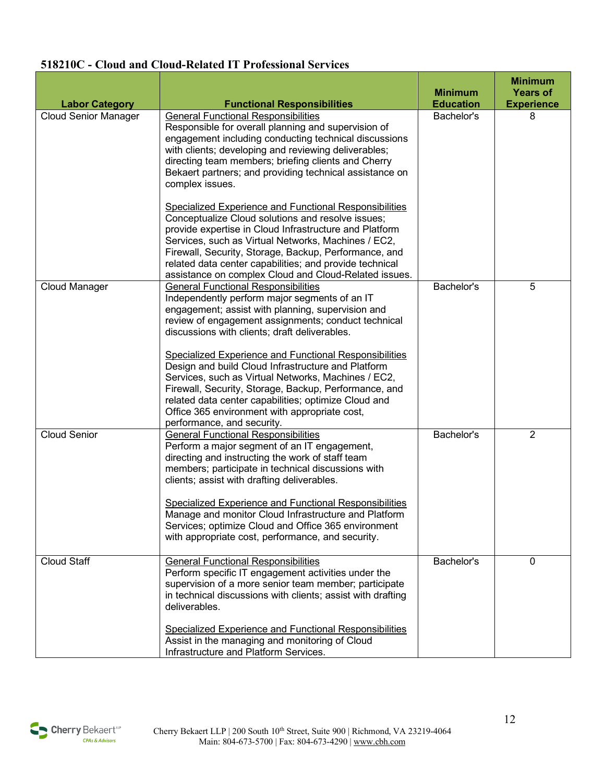#### **518210C - Cloud and Cloud-Related IT Professional Services**

|                             |                                                                                                                                                                                                                                                                                                                                                                                                           | <b>Minimum</b>   | <b>Minimum</b><br><b>Years of</b> |
|-----------------------------|-----------------------------------------------------------------------------------------------------------------------------------------------------------------------------------------------------------------------------------------------------------------------------------------------------------------------------------------------------------------------------------------------------------|------------------|-----------------------------------|
| <b>Labor Category</b>       | <b>Functional Responsibilities</b>                                                                                                                                                                                                                                                                                                                                                                        | <b>Education</b> | <b>Experience</b>                 |
| <b>Cloud Senior Manager</b> | <b>General Functional Responsibilities</b><br>Responsible for overall planning and supervision of<br>engagement including conducting technical discussions<br>with clients; developing and reviewing deliverables;<br>directing team members; briefing clients and Cherry<br>Bekaert partners; and providing technical assistance on<br>complex issues.                                                   | Bachelor's       | 8                                 |
|                             | Specialized Experience and Functional Responsibilities<br>Conceptualize Cloud solutions and resolve issues;<br>provide expertise in Cloud Infrastructure and Platform<br>Services, such as Virtual Networks, Machines / EC2,<br>Firewall, Security, Storage, Backup, Performance, and<br>related data center capabilities; and provide technical<br>assistance on complex Cloud and Cloud-Related issues. |                  |                                   |
| Cloud Manager               | <b>General Functional Responsibilities</b><br>Independently perform major segments of an IT<br>engagement; assist with planning, supervision and<br>review of engagement assignments; conduct technical<br>discussions with clients; draft deliverables.                                                                                                                                                  | Bachelor's       | 5                                 |
|                             | <b>Specialized Experience and Functional Responsibilities</b><br>Design and build Cloud Infrastructure and Platform<br>Services, such as Virtual Networks, Machines / EC2,<br>Firewall, Security, Storage, Backup, Performance, and<br>related data center capabilities; optimize Cloud and<br>Office 365 environment with appropriate cost,<br>performance, and security.                                |                  |                                   |
| <b>Cloud Senior</b>         | <b>General Functional Responsibilities</b><br>Perform a major segment of an IT engagement,<br>directing and instructing the work of staff team<br>members; participate in technical discussions with<br>clients; assist with drafting deliverables.                                                                                                                                                       | Bachelor's       | $\overline{2}$                    |
|                             | <b>Specialized Experience and Functional Responsibilities</b><br>Manage and monitor Cloud Infrastructure and Platform<br>Services; optimize Cloud and Office 365 environment<br>with appropriate cost, performance, and security.                                                                                                                                                                         |                  |                                   |
| <b>Cloud Staff</b>          | <b>General Functional Responsibilities</b><br>Perform specific IT engagement activities under the<br>supervision of a more senior team member; participate<br>in technical discussions with clients; assist with drafting<br>deliverables.<br>Specialized Experience and Functional Responsibilities<br>Assist in the managing and monitoring of Cloud                                                    | Bachelor's       | $\mathbf 0$                       |
|                             | Infrastructure and Platform Services.                                                                                                                                                                                                                                                                                                                                                                     |                  |                                   |

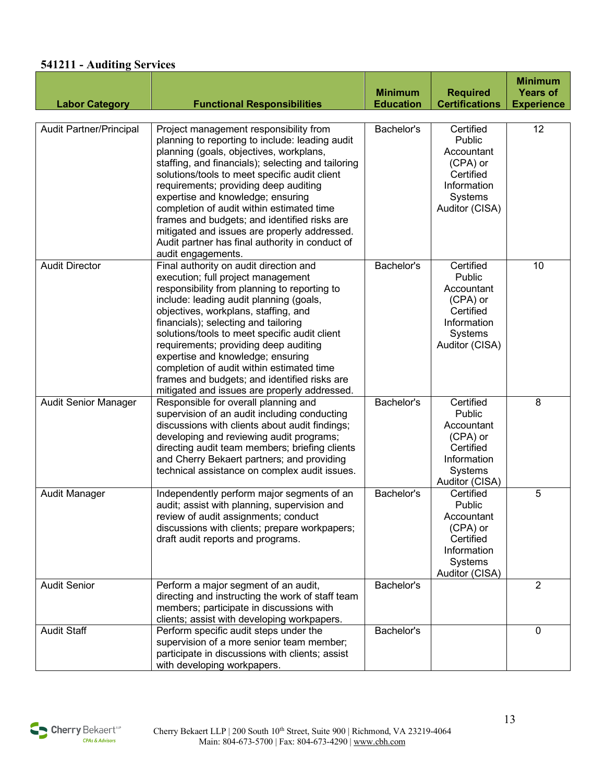#### **541211 - Auditing Services**

|                             |                                                                                                                                                                                                                                                                                                                                                                                                                                                                                                                                                 | <b>Minimum</b>   | <b>Required</b>                                                                                        | <b>Minimum</b><br><b>Years of</b> |
|-----------------------------|-------------------------------------------------------------------------------------------------------------------------------------------------------------------------------------------------------------------------------------------------------------------------------------------------------------------------------------------------------------------------------------------------------------------------------------------------------------------------------------------------------------------------------------------------|------------------|--------------------------------------------------------------------------------------------------------|-----------------------------------|
| <b>Labor Category</b>       | <b>Functional Responsibilities</b>                                                                                                                                                                                                                                                                                                                                                                                                                                                                                                              | <b>Education</b> | <b>Certifications</b>                                                                                  | <b>Experience</b>                 |
| Audit Partner/Principal     | Project management responsibility from<br>planning to reporting to include: leading audit<br>planning (goals, objectives, workplans,<br>staffing, and financials); selecting and tailoring<br>solutions/tools to meet specific audit client<br>requirements; providing deep auditing<br>expertise and knowledge; ensuring<br>completion of audit within estimated time<br>frames and budgets; and identified risks are<br>mitigated and issues are properly addressed.<br>Audit partner has final authority in conduct of<br>audit engagements. | Bachelor's       | Certified<br>Public<br>Accountant<br>(CPA) or<br>Certified<br>Information<br>Systems<br>Auditor (CISA) | 12                                |
| <b>Audit Director</b>       | Final authority on audit direction and<br>execution; full project management<br>responsibility from planning to reporting to<br>include: leading audit planning (goals,<br>objectives, workplans, staffing, and<br>financials); selecting and tailoring<br>solutions/tools to meet specific audit client<br>requirements; providing deep auditing<br>expertise and knowledge; ensuring<br>completion of audit within estimated time<br>frames and budgets; and identified risks are<br>mitigated and issues are properly addressed.             | Bachelor's       | Certified<br>Public<br>Accountant<br>(CPA) or<br>Certified<br>Information<br>Systems<br>Auditor (CISA) | 10                                |
| <b>Audit Senior Manager</b> | Responsible for overall planning and<br>supervision of an audit including conducting<br>discussions with clients about audit findings;<br>developing and reviewing audit programs;<br>directing audit team members; briefing clients<br>and Cherry Bekaert partners; and providing<br>technical assistance on complex audit issues.                                                                                                                                                                                                             | Bachelor's       | Certified<br>Public<br>Accountant<br>(CPA) or<br>Certified<br>Information<br>Systems<br>Auditor (CISA) | 8                                 |
| Audit Manager               | Independently perform major segments of an<br>audit; assist with planning, supervision and<br>review of audit assignments; conduct<br>discussions with clients; prepare workpapers;<br>draft audit reports and programs.                                                                                                                                                                                                                                                                                                                        | Bachelor's       | Certified<br>Public<br>Accountant<br>(CPA) or<br>Certified<br>Information<br>Systems<br>Auditor (CISA) | 5                                 |
| <b>Audit Senior</b>         | Perform a major segment of an audit,<br>directing and instructing the work of staff team<br>members; participate in discussions with<br>clients; assist with developing workpapers.                                                                                                                                                                                                                                                                                                                                                             | Bachelor's       |                                                                                                        | $\overline{2}$                    |
| <b>Audit Staff</b>          | Perform specific audit steps under the<br>supervision of a more senior team member;<br>participate in discussions with clients; assist<br>with developing workpapers.                                                                                                                                                                                                                                                                                                                                                                           | Bachelor's       |                                                                                                        | $\mathbf 0$                       |

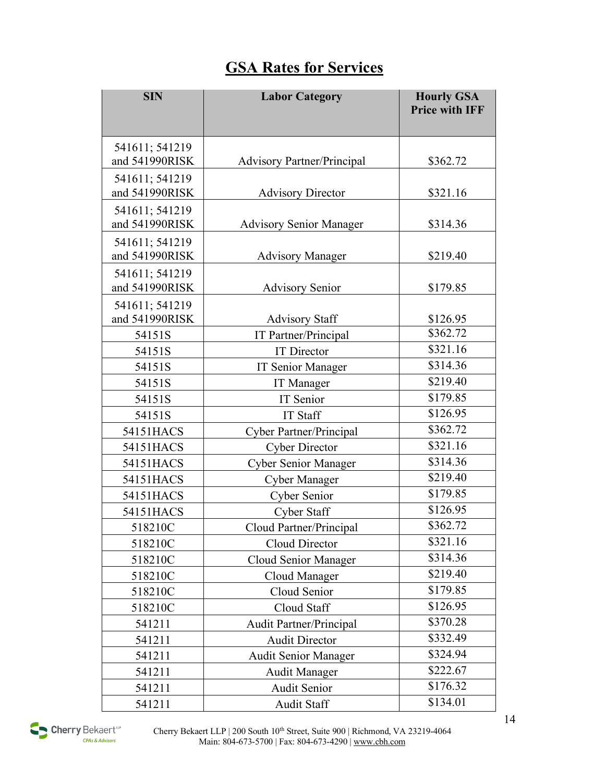## **GSA Rates for Services**

| <b>SIN</b>     | <b>Labor Category</b>             | <b>Hourly GSA</b><br><b>Price with IFF</b> |
|----------------|-----------------------------------|--------------------------------------------|
| 541611; 541219 |                                   |                                            |
| and 541990RISK | <b>Advisory Partner/Principal</b> | \$362.72                                   |
| 541611; 541219 |                                   |                                            |
| and 541990RISK | <b>Advisory Director</b>          | \$321.16                                   |
| 541611; 541219 |                                   |                                            |
| and 541990RISK | <b>Advisory Senior Manager</b>    | \$314.36                                   |
| 541611; 541219 |                                   |                                            |
| and 541990RISK | <b>Advisory Manager</b>           | \$219.40                                   |
| 541611; 541219 |                                   |                                            |
| and 541990RISK | <b>Advisory Senior</b>            | \$179.85                                   |
| 541611; 541219 |                                   |                                            |
| and 541990RISK | <b>Advisory Staff</b>             | \$126.95<br>\$362.72                       |
| 54151S         | IT Partner/Principal              | \$321.16                                   |
| 54151S         | <b>IT</b> Director                |                                            |
| 54151S         | <b>IT Senior Manager</b>          | \$314.36                                   |
| 54151S         | <b>IT Manager</b>                 | \$219.40                                   |
| 54151S         | IT Senior                         | \$179.85                                   |
| 54151S         | <b>IT Staff</b>                   | \$126.95                                   |
| 54151HACS      | <b>Cyber Partner/Principal</b>    | \$362.72                                   |
| 54151HACS      | <b>Cyber Director</b>             | \$321.16                                   |
| 54151HACS      | <b>Cyber Senior Manager</b>       | \$314.36                                   |
| 54151HACS      | <b>Cyber Manager</b>              | \$219.40                                   |
| 54151HACS      | Cyber Senior                      | \$179.85                                   |
| 54151HACS      | <b>Cyber Staff</b>                | \$126.95                                   |
| 518210C        | Cloud Partner/Principal           | \$362.72                                   |
| 518210C        | Cloud Director                    | \$321.16                                   |
| 518210C        | Cloud Senior Manager              | \$314.36                                   |
| 518210C        | Cloud Manager                     | \$219.40                                   |
| 518210C        | Cloud Senior                      | \$179.85                                   |
| 518210C        | Cloud Staff                       | \$126.95                                   |
| 541211         | <b>Audit Partner/Principal</b>    | \$370.28                                   |
| 541211         | <b>Audit Director</b>             | \$332.49                                   |
| 541211         | <b>Audit Senior Manager</b>       | \$324.94                                   |
| 541211         | <b>Audit Manager</b>              | \$222.67                                   |
| 541211         | Audit Senior                      | \$176.32                                   |
| 541211         | Audit Staff                       | \$134.01                                   |